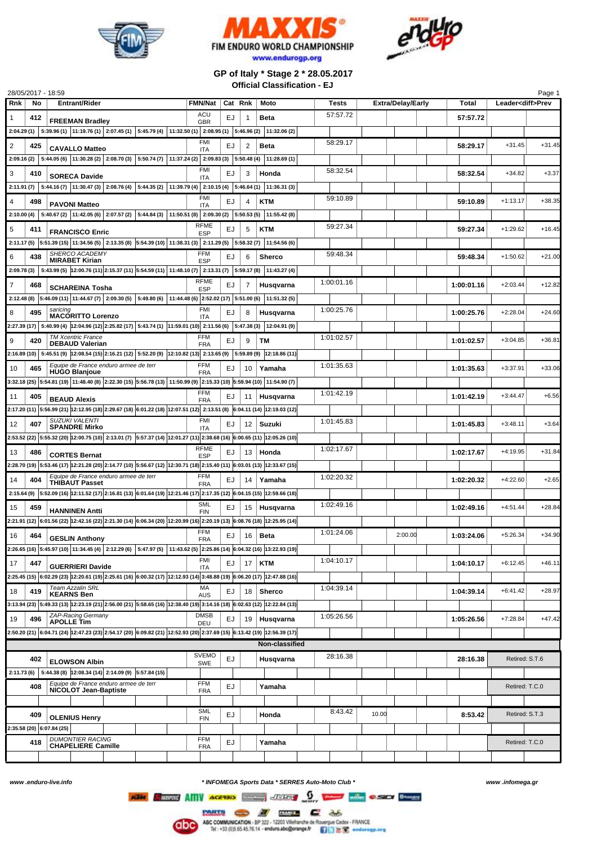





**GP of Italy \* Stage 2 \* 28.05.2017 Official Classification - EJ**

| 28/05/2017 - 18:59        |     |                                                                                                                                                                                                                                                    |                           |         |    |                |            |       |                          |            |                          | Page 1   |
|---------------------------|-----|----------------------------------------------------------------------------------------------------------------------------------------------------------------------------------------------------------------------------------------------------|---------------------------|---------|----|----------------|------------|-------|--------------------------|------------|--------------------------|----------|
| <b>Rnk</b>                | No  | <b>Entrant/Rider</b>                                                                                                                                                                                                                               | <b>FMN/Nat</b>            | Cat Rnk |    | Moto           | Tests      |       | <b>Extra/Delay/Early</b> | Total      | Leader <diff>Prev</diff> |          |
| 1                         | 412 |                                                                                                                                                                                                                                                    | ACU                       | EJ      | 1  | <b>Beta</b>    | 57:57.72   |       |                          | 57:57.72   |                          |          |
|                           |     | <b>FREEMAN Bradley</b>                                                                                                                                                                                                                             | <b>GBR</b>                |         |    |                |            |       |                          |            |                          |          |
|                           |     | 2:04.29 (1) 5:39.96 (1) 11:19.76 (1) 2:07.45 (1) 5:45.79 (4) 11:32.50 (1) 2:08.95 (1) 5:46.96 (2) 11:32.06 (2)                                                                                                                                     |                           |         |    |                |            |       |                          |            |                          |          |
| $\overline{2}$            | 425 | <b>CAVALLO Matteo</b>                                                                                                                                                                                                                              | FMI<br>ITA                | EJ      | 2  | <b>Beta</b>    | 58:29.17   |       |                          | 58:29.17   | $+31.45$                 | $+31.45$ |
|                           |     | 2:09.16 (2) $\mid$ 5:44.05 (6) $\mid$ 11:30.28 (2) $\mid$ 2:08.70 (3) $\mid$ 5:50.74 (7) $\mid$ 11:37.24 (2) $\mid$ 2:09.83 (3) $\mid$ 5:50.48 (4)                                                                                                 |                           |         |    | 11:28.69 (1)   |            |       |                          |            |                          |          |
|                           |     |                                                                                                                                                                                                                                                    | <b>FMI</b>                |         |    |                | 58:32.54   |       |                          |            |                          |          |
| 3                         | 410 | <b>SORECA Davide</b>                                                                                                                                                                                                                               | <b>ITA</b>                | EJ      | 3  | Honda          |            |       |                          | 58:32.54   | $+34.82$                 | $+3.37$  |
|                           |     | 2:11.91 (7) 5:44.16 (7) 11:30.47 (3) 2:08.76 (4) 5:44.35 (2) 11:39.79 (4) 2:10.15 (4) 5:46.64 (1) 11:36.31 (3)                                                                                                                                     |                           |         |    |                |            |       |                          |            |                          |          |
| $\overline{4}$            | 498 |                                                                                                                                                                                                                                                    | <b>FMI</b>                | EJ      | 4  | <b>KTM</b>     | 59:10.89   |       |                          | 59:10.89   | $+1:13.17$               | $+38.35$ |
|                           |     | <b>PAVONI Matteo</b>                                                                                                                                                                                                                               | ITA                       |         |    |                |            |       |                          |            |                          |          |
|                           |     | 2:10.00 (4) 5:40.67 (2) 11:42.05 (6) 2:07.57 (2) 5:44.84 (3) 11:50.51 (8) 2:09.30 (2) 5:50.53 (5) 11:55.42 (8)                                                                                                                                     |                           |         |    |                |            |       |                          |            |                          |          |
| 5<br>411                  |     | <b>FRANCISCO Enric</b>                                                                                                                                                                                                                             | RFME<br><b>ESP</b>        | EJ      | 5  | <b>KTM</b>     | 59:27.34   |       |                          | 59:27.34   | $+1:29.62$               | $+16.45$ |
|                           |     | 2:11.17 (5) 5:51.39 (15) 11:34.56 (5) 2:13.35 (8) 5:54.39 (10) 11:38.31 (3) 2:11.29 (5) 5:58.32 (7)                                                                                                                                                |                           |         |    | 11:54.56 (6)   |            |       |                          |            |                          |          |
|                           |     | SHERCO ACADEMY                                                                                                                                                                                                                                     | <b>FFM</b>                |         |    |                | 59:48.34   |       |                          |            |                          |          |
| 6                         | 438 | <b>MIRABET Kirian</b>                                                                                                                                                                                                                              | <b>ESP</b>                | EJ      | 6  | <b>Sherco</b>  |            |       |                          | 59:48.34   | $+1:50.62$               | $+21.00$ |
|                           |     | 2:09.78 (3) 5:43.99 (5) 12:00.76 (11) 2:15.37 (11) 5:54.59 (11) 11:48.10 (7) 2:13.31 (7) 5:59.17 (8) 11:43.27 (4)                                                                                                                                  |                           |         |    |                |            |       |                          |            |                          |          |
| $\overline{7}$            | 468 |                                                                                                                                                                                                                                                    | <b>RFME</b>               | EJ      | 7  | Husqvarna      | 1:00:01.16 |       |                          | 1:00:01.16 | $+2:03.44$               | $+12.82$ |
|                           |     | <b>SCHAREINA Tosha</b>                                                                                                                                                                                                                             | <b>ESP</b>                |         |    |                |            |       |                          |            |                          |          |
|                           |     | 2:12.48 (8) 5:46.09 (11) 11:44.67 (7) 2:09.30 (5) 5:49.80 (6) 11:44.48 (6) 2:52.02 (17) 5:51.00 (6) 11:51.32 (5)                                                                                                                                   |                           |         |    |                |            |       |                          |            |                          |          |
| 8                         | 495 | saricing<br><b>MACORITTO Lorenzo</b>                                                                                                                                                                                                               | <b>FMI</b><br>ITA         | EJ      | 8  | Husqvarna      | 1:00:25.76 |       |                          | 1:00:25.76 | $+2:28.04$               | $+24.60$ |
|                           |     | 2:27.39 (17) 5:40.99 (4) 12:04.96 (12) 2:25.82 (17) 5:43.74 (1) 11:59.01 (10) 2:11.56 (6) 5:47.38 (3) 12:04.91 (9)                                                                                                                                 |                           |         |    |                |            |       |                          |            |                          |          |
|                           |     | <b>TM Xcentric France</b>                                                                                                                                                                                                                          | FFM                       |         |    |                | 1:01:02.57 |       |                          |            |                          |          |
| 9                         | 420 | <b>DEBAUD Valerian</b>                                                                                                                                                                                                                             | <b>FRA</b>                | EJ      | 9  | TМ             |            |       |                          | 1:01:02.57 | $+3:04.85$               | $+36.81$ |
|                           |     | 2:16.89 (10) 5:45.51 (9) 12:08.54 (15) 2:16.21 (12) 5:52.20 (9) 12:10.82 (13) 2:13.65 (9) 5:59.89 (9) 12:18.86 (11)                                                                                                                                |                           |         |    |                |            |       |                          |            |                          |          |
| 10                        | 465 | Equipe de France enduro armee de terr                                                                                                                                                                                                              | <b>FFM</b>                | EJ      | 10 | Yamaha         | 1:01:35.63 |       |                          | 1:01:35.63 | $+3:37.91$               | $+33.06$ |
|                           |     | <b>HUGO Blanjoue</b><br>3:32.18 (25) 5:54.81 (19) 11:48.40 (8) 2:22.30 (15) 5:56.78 (13) 11:50.99 (9) 2:15.33 (10) 5:59.94 (10) 11:54.90 (7)                                                                                                       | <b>FRA</b>                |         |    |                |            |       |                          |            |                          |          |
|                           |     |                                                                                                                                                                                                                                                    |                           |         |    |                |            |       |                          |            |                          |          |
| 11                        | 405 | <b>BEAUD Alexis</b>                                                                                                                                                                                                                                | FFM<br><b>FRA</b>         | EJ      | 11 | Husqvarna      | 1:01:42.19 |       |                          | 1:01:42.19 | $+3:44.47$               | $+6.56$  |
|                           |     | 2:17.20 (11) 5:56.99 (21) 12:12.95 (18) 2:29.67 (18) 6:01.22 (18) 12:07.51 (12) 2:13.51 (8) 6:04.11 (14) 12:19.03 (12)                                                                                                                             |                           |         |    |                |            |       |                          |            |                          |          |
|                           | 407 | <b>SUZUKI VALENTI</b>                                                                                                                                                                                                                              | <b>FMI</b>                | EJ.     | 12 |                | 1:01:45.83 |       |                          | 1:01:45.83 | $+3:48.11$               | $+3.64$  |
| 12                        |     | <b>SPANDRE Mirko</b>                                                                                                                                                                                                                               | <b>ITA</b>                |         |    | Suzuki         |            |       |                          |            |                          |          |
|                           |     | 2:53.52 (22) 5:55.32 (20) $ 12:00.75(10) $ 2:13.01 (7) 5:57.37 (14) $ 12:01.27(11) $ 2:38.68 (16) 6:00.65 (11) $ 12:05.26(10) $                                                                                                                    |                           |         |    |                |            |       |                          |            |                          |          |
| 13                        | 486 | <b>CORTES Bernat</b>                                                                                                                                                                                                                               | <b>RFME</b><br><b>ESP</b> | EJ      | 13 | Honda          | 1:02:17.67 |       |                          | 1:02:17.67 | $+4:19.95$               | +31.84   |
|                           |     | 2:28.70 (19) 5:53.46 (17) 12:21.28 (20) 2:14.77 (10) 5:56.67 (12) 12:30.71 (18) 2:15.40 (11) 6:03.01 (13) 12:33.67 (15)                                                                                                                            |                           |         |    |                |            |       |                          |            |                          |          |
|                           |     | Equipe de France enduro armee de terr                                                                                                                                                                                                              | <b>FFM</b>                |         |    |                |            |       |                          |            |                          |          |
| 14                        | 404 | <b>THIBAUT Passet</b>                                                                                                                                                                                                                              | <b>FRA</b>                | EJ      | 14 | Yamaha         | 1:02:20.32 |       |                          | 1:02:20.32 | $+4:22.60$               | $+2.65$  |
|                           |     | 2:15.64 (9) 5:52.09 (16) $ 12:11.52(17) 2:16.81(13) 6:01.64(19) 12:21.46(17) 2:17.35(12) 6:04.15(15) 12:59.66(18) 13:148(17) 14:159(18) 15:169(19) 16:171(19) 16:171(19) 17:189(19) 18:199(19) 19:199(19) 19:199(19) 19:199(19) 19:199(19) 19:199$ |                           |         |    |                |            |       |                          |            |                          |          |
| 15                        | 459 |                                                                                                                                                                                                                                                    | <b>SML</b>                | EJ      | 15 | Husqvarna      | 1:02:49.16 |       |                          | 1:02:49.16 | $+4:51.44$               | $+28.84$ |
|                           |     | <b>HANNINEN Antti</b>                                                                                                                                                                                                                              | <b>FIN</b>                |         |    |                |            |       |                          |            |                          |          |
|                           |     | 2:21.91 (12) 6:01.56 (22) 12:42.16 (22) 2:21.30 (14) 6:06.34 (20) 12:20.99 (16) 2:20.19 (13) 6:08.76 (18) 12:25.95 (14)                                                                                                                            |                           |         |    |                |            |       |                          |            |                          |          |
| 16                        | 464 | <b>GESLIN Anthony</b>                                                                                                                                                                                                                              | <b>FFM</b><br><b>FRA</b>  | EJ      | 16 | <b>Beta</b>    | 1:01:24.06 |       | 2:00.00                  | 1:03:24.06 | $+5:26.34$               | $+34.90$ |
|                           |     | $2:26.65(16)$ 5:45.97(10) 11:34.45(4) 2:12.29(6) 5:47.97(5) 11:43.62(5) 2:25.86(14) 6:04.32(16) 13:22.93(19)                                                                                                                                       |                           |         |    |                |            |       |                          |            |                          |          |
|                           |     |                                                                                                                                                                                                                                                    | FMI                       |         |    |                | 1:04:10.17 |       |                          |            |                          |          |
| 17                        | 447 | <b>GUERRIERI Davide</b>                                                                                                                                                                                                                            | <b>ITA</b>                | EJ      | 17 | <b>KTM</b>     |            |       |                          | 1:04:10.17 | $+6:12.45$               | $+46.11$ |
|                           |     | 2:25.45 (15) 6:02.29 (23) 12:20.61 (19) 2:25.61 (16) 6:00.32 (17) 12:12.93 (14) 3:48.88 (19) 6:06.20 (17) 12:47.88 (16)                                                                                                                            |                           |         |    |                |            |       |                          |            |                          |          |
| 18                        | 419 | Team Azzalin SRL                                                                                                                                                                                                                                   | МA                        | EJ      | 18 | <b>Sherco</b>  | 1:04:39.14 |       |                          | 1:04:39.14 | $+6:41.42$               | $+28.97$ |
|                           |     | <b>KEARNS Ben</b>                                                                                                                                                                                                                                  | <b>AUS</b>                |         |    |                |            |       |                          |            |                          |          |
|                           |     | 3:13.94 (23) 5:49.33 (13) 12:23.19 (21) 2:56.00 (21) 5:58.65 (16) 12:38.40 (19) 3:14.16 (18) 6:02.63 (12) 12:22.84 (13)                                                                                                                            |                           |         |    |                |            |       |                          |            |                          |          |
| 19                        | 496 | <b>ZAP-Racing Germany</b><br><b>APOLLE Tim</b>                                                                                                                                                                                                     | <b>DMSB</b><br>DEU        | EJ      | 19 | Husqvarna      | 1:05:26.56 |       |                          | 1:05:26.56 | $+7:28.84$               | $+47.42$ |
|                           |     | 2:50.20 (21) 6:04.71 (24) 12:47.23 (23) 2:54.17 (20) 6:09.82 (21) 12:52.93 (20) 2:37.69 (15) 6:13.42 (19) 12:56.39 (17)                                                                                                                            |                           |         |    |                |            |       |                          |            |                          |          |
|                           |     |                                                                                                                                                                                                                                                    |                           |         |    | Non-classified |            |       |                          |            |                          |          |
|                           |     |                                                                                                                                                                                                                                                    | <b>SVEMO</b>              |         |    |                | 28:16.38   |       |                          |            |                          |          |
|                           | 402 | <b>ELOWSON Albin</b>                                                                                                                                                                                                                               | <b>SWE</b>                | EJ      |    | Husqvarna      |            |       |                          | 28:16.38   | Retired: S.T.6           |          |
|                           |     | 2:11.73 (6) 5:44.38 (8) 12:08.34 (14) 2:14.09 (9) 5:57.84 (15)                                                                                                                                                                                     |                           |         |    |                |            |       |                          |            |                          |          |
|                           | 408 | Equipe de France enduro armee de terr                                                                                                                                                                                                              | FFM                       | EJ      |    | Yamaha         |            |       |                          |            | Retired: T.C.0           |          |
|                           |     | <b>NICOLOT Jean-Baptiste</b>                                                                                                                                                                                                                       | <b>FRA</b>                |         |    |                |            |       |                          |            |                          |          |
|                           |     |                                                                                                                                                                                                                                                    |                           |         |    |                |            |       |                          |            |                          |          |
|                           | 409 | <b>OLENIUS Henry</b>                                                                                                                                                                                                                               | <b>SML</b><br><b>FIN</b>  | EJ      |    | Honda          | 8:43.42    | 10.00 |                          | 8:53.42    | Retired: S.T.3           |          |
| 2:35.58 (20) 6:07.84 (25) |     |                                                                                                                                                                                                                                                    |                           |         |    |                |            |       |                          |            |                          |          |
|                           |     | <b>DUMONTIER RACING</b>                                                                                                                                                                                                                            | FFM                       |         |    |                |            |       |                          |            |                          |          |
|                           | 418 | <b>CHAPELIERE Camille</b>                                                                                                                                                                                                                          | <b>FRA</b>                | EJ      |    | Yamaha         |            |       |                          |            | Retired: T.C.0           |          |
|                           |     |                                                                                                                                                                                                                                                    |                           |         |    |                |            |       |                          |            |                          |          |

*www .enduro-live.info \* INFOMEGA Sports Data \* SERRES Auto-Moto Club \* www .infomega.gr*

King Shows AMV ACCRES DE JUST 9 1999 With CSO Brown